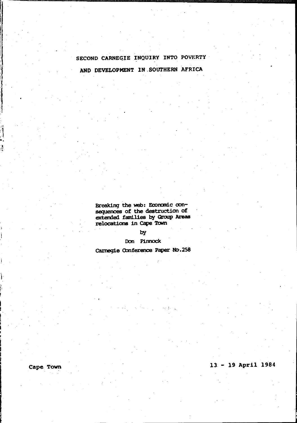# SECOND CARNEGIE INQUIRY INTO POVERTY

AND DEVELOPMENT IN SOUTHERN AFRICA

Breaking the web: Economic conexample were recommended<br>sequences of the destruction of<br>extended families by Group Areas<br>relocations in Cape Town

by

Don Pinnock

Carnegie Conference Paper No.258

13 - 19 April 1984

Cape Town

J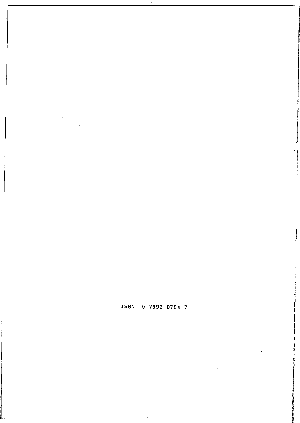## ISBN 0 7992 0704 7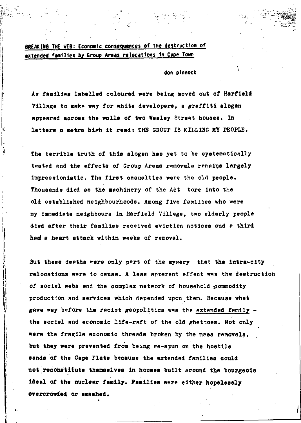## BREAKING. THE WEB: Economic consequences of the destruction of extended faal11es by Group Areas relocations in Cape Town

1-

## don pfnnock

As families labelled coloured were being moved out of Harfield Village to make way for white developers, a graffiti slogan appeared across the walla of two Wesley Street houaes. In letters a metre high it read: THE GROUP IS KILLING MY PEOPLE.

The terrible truth of this slogan has yet to be systematically tested and the effects of Group Areas removals remains largely impressionistic. The first oasualties were the old people. Thousands died ss the machinery of the Act tore into the old established neighbourhoods. Among five families who were my immediate neighbours in Harfield Village, two elderly people died after their families received eviction notices and a third had a heart attack within weeks of removal.

But these deaths were only part of the mysery that the intra-city relocations were to cause. A less apparent effect was the destruction of social webs and the complex network of household commodity production and services which depended upon them. Because what gave way before the racist geopolitics was the extended family  $$ the social and economic lite-raft of the old ghettoes. Not only were the fragile economic threads broken by the mass removals. but they were prevented from being re-spun on the hostile sands of the Cape Flats because the extended families could not reconstitute themselves in houses built around the bourgeois ideal of the nuclear family. Families were either hopelessly cwercrOwded or amashed.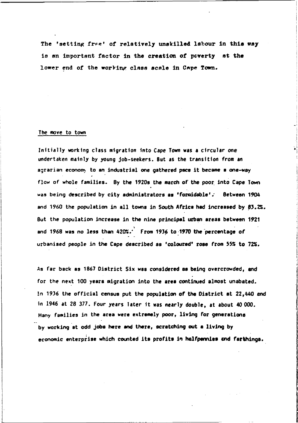The 'setting free' of relatively unskilled labour in this way is an important factor in the creation of poverty at the lower end of the working class scale in Cape Town.

### The *move* to town

Initially working class migration into Cape Town was a circular one undertaken mainly by young job-seekers. But as the transition from an agrarian economy to an industrial one gathered pace it became a one-way flow of whole families. By the 1920s the march of the poor into Cape Town was being described by city administrators as 'formidable'. Between 1904 and 1960 the population in all towns in South Africa had increased by  $83.2\%$ . But the population increase in the nine principal urban areas between 1921 and 1968 was no less than 420%.  $\cdot$  From 1936 to 1970 the percentage of urbanised people in the Cape described as 'coloured' rose from  $55%$  to  $72%$ .

As far back as 1867 District Six was considered as being overcrowded, and for the next 100 years migration into the area continued almost unabated. In 1936 the official census put the population of the District at  $22,440$  and in 1946 at 28 377. Four years later it was nearly double, at about 40 000, Many families in the area were extremely poor, living for generations by working at odd jobs here and there, scratching out a living by economic enterprise which counted its profits in halfpennies and farthings.

**International Contract on the Contract of the Contract of the Contract of The Contract of The Contract of The Contract of The Contract of The Contract of The Contract of The Contract of The Contract of The Contract of The**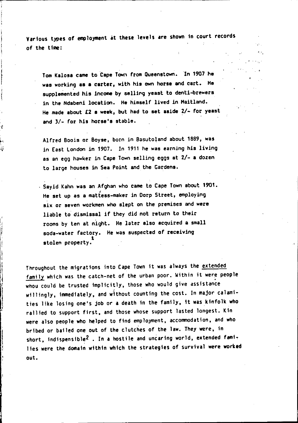Various types of employment at these levels are shown in court records of the time:

Tom Kalosa came to Cape Town from Queenstown. In 1907 he was working as a carter, with his own horse and cart. He supplemented his income by selling yeast to denti-brewers in the Ndabeni location. He himself lived in Haitland. He made about £2 a week, but had to set aside 2/- for yeast and 3/- for his horse's stable.

Alfred Boois or Boyse, born in Basutoland about 1889, was in East London in 1907. In 1911 he was earning his living as an egg hawker in Cape Town selling eggs at 2/- a dozen to large houses in Sea Point and the Gardens.

. Sayid Kahn was an Afghan who came to Cape Town about *1901.*  He set up as a mattess-maker in Dorp Street, employing six or seven workmen who slept on the premises and were liable to' dismissal if they did not return to their rooms by ten at night. He later also acquired a small soda-water factory. He was suspected of receiving 1 stolen property.

Throughout the migrations into Cape Town it was always the extended family which was the catch-net of the urban poor. Within it were people whou could be trusted implicitly, those who would give assistance willingly, immediately, and without counting the cost. In major calamities like losing one's job or a death in the family, it was kinfolk who rallied to support first, and those whose support lasted longest. Kin were also people who helped to find employment, accommodation, and who bribed or bailed one out of the clutches of the law. They were, in short, indispensible<sup>2</sup>. In a hostile and uncaring world, extended families were the domain within which the strategies of survival were worked out.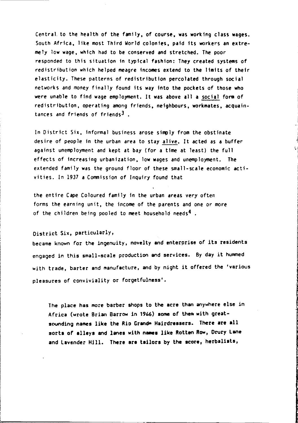Central. to the health of the family, of course, was worting class wages. South Africa, like most Third World colonies, paid its workers an extremely low wage, which had to be conserved and stretched. The poor responded to this situation in typical fashion: They created systems of redistribution which helped meagre incomes extend to the limits of their elasticity. These patterns of redistribution percolated through social networks and money finally found its way into the pockets of those who were unable to find wage employment. It was above all a social form of redistribution, operating among friends, neighbours, workmates, acquaintances and friends of friends $3$ .

In District Six, informal business arose simply from the obstinate desire of people in the urban area to stay alive. It acted as a buffer against unemployment and kept at bay (for a time at least) the full effects of increasing urbanization, low wages and unemployment. The extended family was the ground floor of these small-scale economic activities. In 1937 a Commission of Inquiry found that

the entire Cape Coloured family in the urban areas very often forms the earning unit, the income of the parents and one or more of the children being pooled to meet household needs<sup>4</sup>.

District Six, particularly,

became known for the ingenuity, novelty and enterprise of its residents engaged in this small-scale production and services. By day it hummed with trade, barter and manufacture, and by night it offered the 'various pleasures of conviviality or forgetfulness'.

The place has more barber shops to the acre than anywhere else in Africa (wrote Brian Barrow in 1966) some of them with greatsounding names like the Rio Grande Hairdressers. There are all sorts of alleys and lanes with names like Rotten Row, Drury Lane and Lavender Hill. There are tailors by the score, herbalists,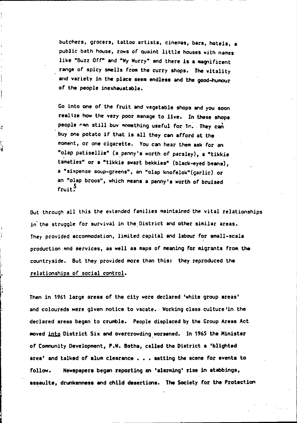butchers, grocers, tattoo artists, cinemas, bars, hotels, a public bath house, rows of quaint little houses with names like "Buzz Off" and "Wy Wurry" and there is a magnificent range of spicy smells from the curry shops. The vitality and variety in the place seem endless and the good-humour of the people inexhaustable.

Co into one of the fruit and vegetable shops and you soon realize how the very poor manage to live. In these shops people can still buv something useful for 1c. They can buy one potato if that is all they can afford at the moment, or one cigarette. You can hear them ask for an "olap patisellie" (a penny's worth of parsley), a "tikkie tamaties" or a "tikkie swart bekkies" (black-eyed beans), a "sixpense soup-greens", an "olap knofelok"(garlic) or an "olap broos", which means a penny's worth of bruised  $f$ ruit $\frac{5}{2}$ 

.

But through all this the extended families maintained the vital relationships in the struggle for survival in the District and other similar areas. They provided accommodation, limited capital and labour for small-scale production and services, as well as maps of meaning for migrants from the countryside. But they provided more than this: they reproduced the relationships or social control.

Then in 1961 large areas of the city were declared 'white group areas' and coloureds were given notice to vacate. Working class culture 'in the declared areas began to crumble. People displaced by the Croup Areas Act moved into District Six and overcrowding worsened. In 1965 the Minister of Community Development, P.W. Botha, cslled the District a 'blighted area' and talked of slum clearance , . . setting the scene for events to follow. Newepapers began reporting en 'alarming' rise in atabbings, assaults, drunkenness and child desertions. The Society for the Protection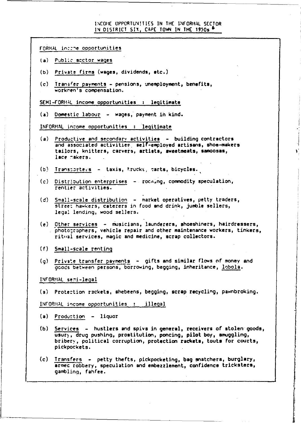#### INCOHE UPPORTUN!TIES IN THE INFORMAL SECTOR. **IN DISTRICT SIX, CAPE TOWN IN THE 1950s 6**

FORMAL incine opportunities

- (a) Public sector wages
- (b) Private firms (wages, dividends, etc.)
- (c) Transfer payments pensions, unemployment, benefits, workren's compensation.

SEMI-FORMAL income opportunities : legitimate

(a) Domestic labour - wages, payment in kind.

INFORMAL income opportunities : legitimate

- (a) Productive and secondary activities building contractors and associated activities, self-employed artisans, shoe-makers tailors, knitters, carvers, artists, sweetmeats, samoosas, lace makers.
- $(b)$  Transcorters taxis, trucks, carts, bicycles.
- (c) Distribution enterprises rocming, commodity speculation, rentier activities.
- (d) Small-scale distribution market operatives, petty traders, street hawkers, caterers in food and drink, jumble sellers, legal lending, wood sellers.
- (e) Other services musiCians, launderers, shoeshiners, hairdressers, photo;raphers, vehicle repair and other maintenance workers, tinkers, ritual services, magic and medicine, scrap collectors.
- (f) Small-scale renting
- $(q)$  Private transfer pavments  $-$  gifts and similar flows of money and goods between persons, borrowing, begging, inheritance, lobola.

INFORMAL semi-legal

(a) Prote:tion r3ckets, shebeens, begging, scrap recycling, pawnbroking.

INFORHAL income opportunities : illegal

- $(a)$  Production  $-$  liquor
- (b) Services hustlers and spivs in general, receivers of stolen goods, usur), drug pushinq, prostitution, poncing, pilot boy, smuggling, bribery, political corruption, protection rackets, touts for courts, pickpockets.
- (c) Transfers petty thefts, pickpocketing, bag snatchers, burglary, armec robbery, speculation and embezzlement, confidence tricksters, gamblinq, fahfee.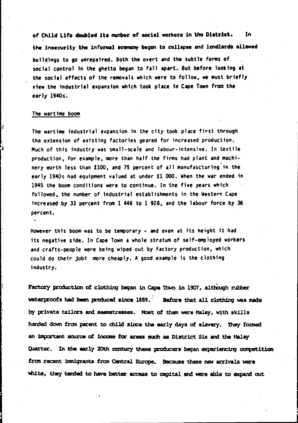of Child Life doubled its number of social workers in the District. In the insecurity the informal acomomy began to collapse and landlords allowed buildings to go unrepaired. Both the overt and the subtle forms of social control in the ghetto began to fall apart. But before looking at the social effects of the removals which were to follow, we must briefly view the industrial expansion which took place in Cape Town from the early 1940s.

#### The wartime boom

The wartime industrial expansion in the city took place first through the extension of existing factories geared for increased production. Much of this industry was small-scale and labour-intensive. In textile production, for example, more than half the firms had plant and machinery worth less than £100, and 75 percent of all manufascturing in the early 1940s had equipment valued at under £1 000. When the war ended in 1945 the boom conditions were to continue. In the five years which followed, the number of industrial establishments in the Western Cape increased by 33 percent from 1 446 to 1 928, and the labour force by 36 percent.

However this boom was to be temporary - and even at its height it had its negative side. In Cape Town a whole stratum of self-employed workers and crafts-people were being wiped out by factory production, which could do their jobs more cheaply. A good example is the clothing industry.

Factory production of clothing began in Cape Town in 1907, although rubber waterproofs had been produced since 1889. Before that all clothing was made by private tailors and seamstresses. Most of them were Malay, with skills handed down from parent to child since the early days of slavery. They formed an important source of income for areas such as District Six and the Malay. Quarter. In the early 20th century these producers began experiencing competition from recent immigrants from Central Europe. Because these new arrivals were white, they tended to have better access to capital and were able to expand out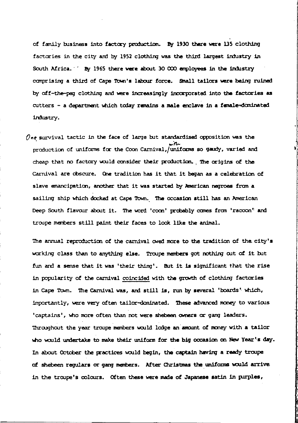of family business into factory production. By 1930 there were 135 clothing factories in the city and by 1952 clothing was the third largest industry in South Africa. <sup>2</sup> By 1965 there were about 30 000 employees in the industry comprising a third of Cape Town's labour force. Small tailors were being ruined by off-the-pay clothing and were increasingly incorporated into the factories as cutters - a department which today remains a male enclave in a female-dominated industry.

 $\mathcal O$ ne survival tactic in the face of large but standardised opposition was the mith. production of uniforms for the Coon Carnival, uniforms so gaudy, varied and cheap that no factory would consider their production. The origins of the Carnival are coscure. One tradition has it that it began as a celebration of slave emancipation, another that it was started by American negroes from a sailing ship which docked at Cape Town. The occasion still has an American Deep South flavour about it. The word 'coon' probably comes from 'raccon' and troupe members still paint their faces to look like the animal.

The annual reproduction of the carnival owed more to the tradition of the city's working class than to anything else. Troupe members got nothing out of it but fun and a sense that it was 'their thing'. But it is significant that the rise in popularity of the carnival coincided with the growth of clothing factories in Cape Town. The Carnival was, and still is, run by several 'boards' which, importantly, were very often tailor-dominated. These advanced money to various 'captains', who more often than not were shebeen owners or gang leaders. Throughout the year troupe members would lodge an amount of money with a tailor who would undertake to make their uniform for the big occasion on New Year's day. In about October the practices would begin, the captain having a ready troupe of shebeen regulars or gang members. After Christmas the uniforms would arrive in the troupe's colours. Often these were made of Japanese satin in purples,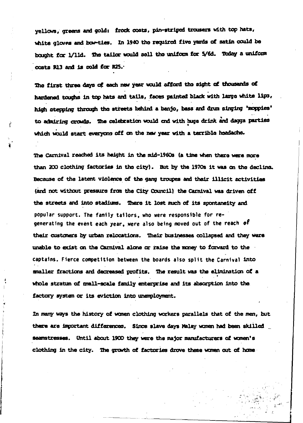vellows, greens and gold: frock coats, pin-striped trousers with top hats, white gloves and bow-ties. In 1940 the required five vards of satin could be bought for 1/11d. The tailor would sell the uniform for 5/6d. Today a uniform costs R13 and is cold for R25.

The first three days of each new year would afford the sight of thousands of hardened toughs in top hats and tails, faces painted black with large white lips, high stepping through the streets behind a banjo, bass and drum singing 'moppies' to admiring crowds. The celebration would end with home drink and dayga parties which would start everyons off on the new year with a terrible headache.

ř

Ä

The Carnival reached its height in the mid-1960s (a time when there were more than 200 clothing factories in the city). But by the 1970s it was on the decline. Because of the latent violence of the gang troupes and their illicit activities (and not without pressure from the City Council) the Carnival was driven off the streets and into stadiums. There it lost much of its spontaneity and popular support. The family tailors, who were responsible for regenerating the event each year. were also being moved out of the reach of their customers by urban relocations. Their businesses collapsed and they were unable to exist on the Carnival alone or raise the money to forward to the captains. Fierce competition between the boards also split the Carnival into smaller fractions and decreased profits. The result was the elimination of a whole stratum of mmall-acale family enterprise and its absorption into the factory system or its eviction into unemployment.

In many ways the history of women clothing workers parallels that of the men, but there are important differences. Since slave days Malay women had been skilled seamstresses. Until about 1900 they were the major manufacturers of women's clothing in the city. The growth of factories drove these women out of home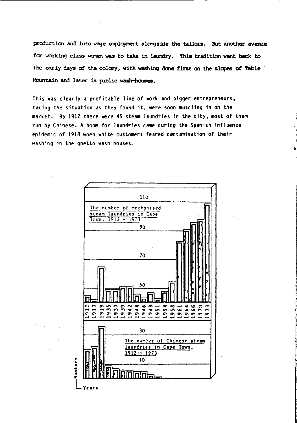production and into wage employment alongside the tailors. But another avenue for working class women was to take in laundry. This tradition went back to the early days of the colony, with washing done first on the slopes of Table Mountain and later in public wash-houses.

This was clearly a profitable line of work and bigger entrepreneurs, taking the situation as they found it, were soon muscling in on the market. By 1912 there were 45 steam laundries in the city, most of them run by Chinese. A boom for laundries came during the Spanish influenza epidemic of 1918 when white customers feared contamination of their washing in the ghetto wash houses.

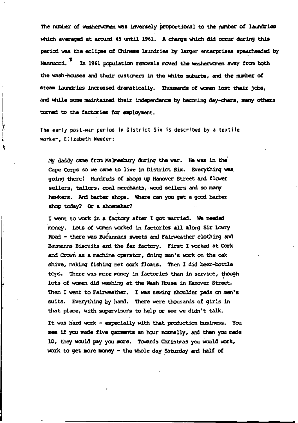The number of washerwomen was inversely proportional to the number of laundrics which averaged at around 45 until 1961. A change which did occur during this period was the eclipse of Chinese laundries by larger enterprises spearheaded by Nannucci.<sup>3</sup> In 1961 population removals moved the wesherwomen away from both the wash-houses and their customers in the white suburbs, and the number of steam laundries increased dramatically. Thousands of women lost their jobs, and while some maintained their independence by becoming day-chars, many others turned to the factories for employment.

The early post-war period in District Six is described by a textile worker. Elizabeth Weeder:

į á

> My daddy came from Malmesbury during the war. He was in the Cape Corps so we came to live in District Six. Everything was going there! Hundreds of shops up Hanover Street and flower sellers, tailors, coal merchants, wood sellers and so many hawkers. And barber shops. Where can you get a good barber shop today? Or a shoemaker?

I went to work in a factory after I got married. We needed money. Lots of women worked in factories all along Sir Lowry Road - there was Bucannans sweets and Fairweather clothing and Baumanns Biscuits and the fez factory. First I worked at Cork and Crown as a machine operator, doing man's work on the oak shive, making fishing net cork floats. Then I did beer-bottle tops. There was more money in factories than in service, though lots of women did washing at the Wash House in Hanover Street. Then I went to Fairweather. I was sewing shoulder pads on men's suits. Everything by hard. There were thousards of girls in that place, with supervisors to help or see we didn't talk.

It was hard work - especially with that production business. You see if you made five garments an hour normally, and then you made 10, they would pay you more. Towards Christmas you would work, work to get more money - the whole day Saturday and half of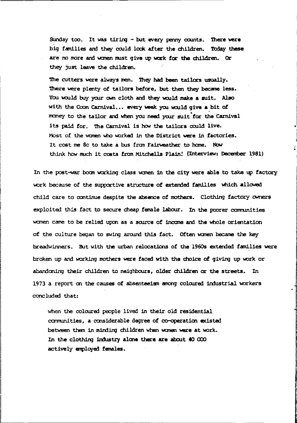Sunday too. It was tiring - but every penny counts. There were big families and they could look after the children. Today these are no more and women must give up work for the children. Or they just leave the children.

The cutters were always men. They had been tailors usually. There were plenty of tailors before, but then they became less. You would buy your own cloth and they would make a suit. Also with the Coon Carnival... every week you would give a bit of money to the tailor and when you need your suit for the Carnival its paid for. The Carnival is how the tailors could live. Most of the women who worked in the District were in factories. It cost me 8c to take a bus from Fairweather to home. Now think how much it costs from Mitchells Plain! (Interview: December 1981)

In the post-war boom working class women in the city were able to take up factory work because of the supportive structure of extended families which allowed child care to continue despite the absence of mothers. Clothing factory owners exploited this fact to secure cheap female labour. In the poorer communities women came to be relied upon as a source of income and the whole orientation of the culture began to swing around this fact. Often women became the key breadwinners. But with the urban relocations of the 1960s extended families were broken up and working mothers were faced with the choice of giving up work or abandoning their children to neighbours, older children or the streets. In 1973 a report on the causes of absenteeism among coloured industrial workers concluded that:

when the coloured people lived in their old residential communities, a considerable degree of co-operation existed between them in minding children when women were at work. In the clothing industry alone there are about 40 000 actively employed females.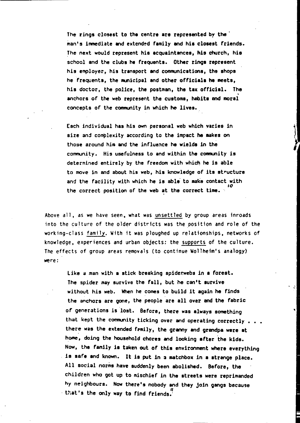The rings closest to the centre are represented by the man's immediate and extended family and his closest friends. The next would represent his acquaintances, his church, his school and the clubs he frequents. Other rings represent his employer, his transport and communications, the ahops he frequents, the municipal and other officials he meets, his doctor, the police, the postman, the tax official. The anchors of the web represent the customs, habits and moral concepts of the community in which he lives.

-------------------------

Each individual has his own personal web which varies in size and complexity according to the impact he makes on those around him and the influence he wields in the community. His usefulness to and within the community is determined entirely by the freedom with which he ia able to move in and about his web, his knowledge of its structure and the facility with which he is able to make contact with  $\frac{10}{10}$ the correct position of the web at the correct time.

Above all, as we have seen, what was unsettled by group areas inroads into the culture of the older districts was the position and role of the working-class family. With it was ploughed up relationships, networks of knowledge, experiences and urban objects: the supports of the culture. The effects of group areas removals (to continue Wollhefm's analogy) were:

like a man with a atick breaking apiderwebs in a foreat. The spider may survive the fall, but he can't survive without his web. When he comes to build it again he finds the anchors are gone, the people are allover end the fabric of generations is lost. Before, there was always something that kept the community ticking over and operating correctly  $\ldots$ there was the extended femily, the granny and grandpa were at home, doing the household chores and looking after the kids. Now, the family is taken out of this environment where everything is safe and known. It is put in a matchbox in a strenge place. All social norms have suddenly been abolished. Before, the children who got up to mischief in the streets were reprimanded hy neighbours. Now there's nobody and they join gangs because . that's the only way to find friends.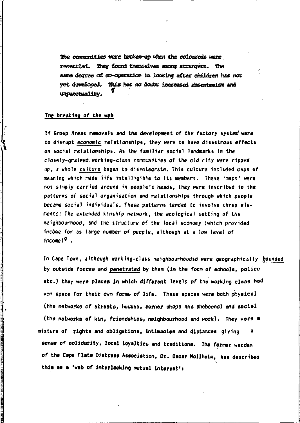The commities were broken-up when the coloureds were resettled. They found themselves such stranders. The same degree of co-contation in looking after children has not vet developed. This has no doubt increased absenteeign and uncurretuality.

## The breaking of the web

If Group Areas removals and the development of the factory system were to disrupt economic relationships, they were to have disastrous effects on social relationships. As the familiar social landmarks in the closely-grained working-class communities of the old city were ripped up, a whole culture began to disintegrate. This culture included maps of meaning which made life intelligible to its members. These 'maps' were not simply carried around in people's heads, they were inscribed in the patterns of social organisation and relationships through which people became social individuals. These patterns tended to involve three elements: The extended kinship network, the ecological setting of the neighbourhood, and the structure of the local economy (which provided income for as large number of people, although at a low level of  $income<sup>9</sup>$ .

In Cape Town, although working-class neighbourhoodsd were geographically bounded by outside forces and penetrated by them (in the form of schools, police etc.) they were places in which different levels of the working class had won space for their own forms of life. These spaces were both physical (the networks of streets, houses, corner shops and shebeens) and social (the networks of kin, friendships, neighbourhood and work). They were a mixture of rights and obligations, intimacies and distances giving sense of solidarity, local loyalties and traditions. The former warden of the Cape Flats Distress Association, Dr. Oscar Wollheim, has described this as a 'web of interlocking mutual interest':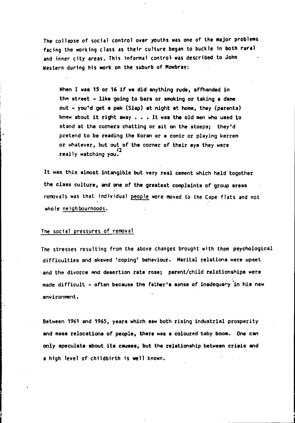The collapse of social control over youths was one of the major problems facing the working class as their culture began to buckle in both rural and inner city areas. This Informal control was described to John Western during his work on the suburb of Mowbray:

When I was 15 or 16 if we did anything rude, offhanded in the street - like going to bars or smoking or taking a dame out - you'd get a pak (Slap) at night at home, they (parents) knew about it right away  $\ldots$  . It was the old men who used to stand at the corners chatting or sit on the stoeps; they'd pretend to be reading the Koran or 8 comic or playing kerrem or whatever, but out of the corner of their eye they were<br>really watching you.

It was this almost intangible but very real cement which held together the class culture, and one of the greatest complaints of group areas removals was that individual people were moved to the Cape flats and not whole neighbourhoods.

#### The social pressures of removal

I I  $\mathbf{I}$ 

> The stresses resulting from the above changes brought with them psychological difficulties and skewed 'coping' behaviour. Marital relations were upset and the divorce and desertion rate rose; parent/child relationships were made difficult - often because the father's sanse of inadequary in his new environment.

Between 1961 and 1965, years which saw both rising industrial prosperity and mass relocations of people, there was a coloured baby boom. One can only speculate about its causes, but the relationship between crisis and a high level of childbirth is well known.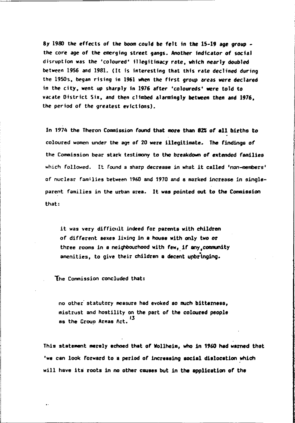8y 1980 the effects of the boom could be felt in the 15-19 age group the core age of the emerging street gangs. Another indicator of social disruption was the 'coloured' illegitimacy rate, which nearly doubled between 1956 and 1981. (It 15 interesting that this rate declined during the 19505. began rising in 1961 when the first group areas were declared in the city. went up sharply in 1976 after 'coloureds' were told to vacate District Six, and then climbed alarmingly between then and 1976. the period of the greatest evictions).

In 1974 the Theron Commission found that more than 82% of all births to coloured women under the age of 20 were illegitimate. The findings of the Commission bear stark testimony to the breakdown of extended families which followed. It found a sharp decrease in what it called 'non-members' of nuclear families between 1960 and 1970 and a marked increase in singleparent families in the urban area. It was pointed out to the Commission that:

it was very difficult indeed for parents with children of different sexes living in a house with only two or three rooms in a neighbourhood with few, if any, community amenities, to give their children a decent upbringing.

The Commission concluded that:

no other' statutory measure had evoked so much bittarnass, mistrust and hostility on the part of the coloured people as the Group Areas Act.<sup>13</sup>

This statement merely echoed that of Wollheim, who in *1960* had warned that 'we can look forward to a period of increasing social dislocation which will have its roots in no other causes but in the application of the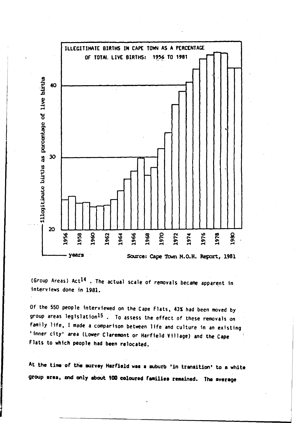

(Group Areas)  $Act^{14}$  . The actual scale of removals became apparent in interviews done in 1981.

Of the 550 people interviewed on the Cape Flats, *431* had been moved by group areas legislation<sup>15</sup>. To assess the effect of these removals on family life, I made a comparison between life and culture in an existing 'inner city' area (Lower Claremont or Harfield Village) and the Cape Flats to whtch people had been relocated.

At the time of the survey Harfield was a suburb 'in transition' to a white group area, end only about 100 coloured families remained. The average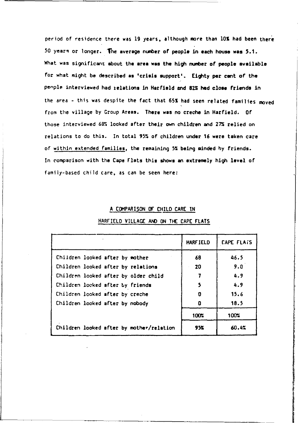period of residence there was 19 years, although more than lOS had been there 50 years or longer. The average number of people in each house was 5.1. What was significant about the area was the high number of people available for what might be described as 'crisis support'. Eighty per cent of the penple interviewed had relations in Harfield and 82% had close friends in the area - this was despite the fact that 65% had seen related families moved from the village by Croup Areas. There was no creche in Harfield. Of those interviewed 68% looked after their own children and 27% relied on relations to do this. In total 95% of children under 16 were taken care of within extended families, the remaining 5% being minded by friends. In comparison with the Cape Flats this shows an extremely high level of family-based child care, as can be seen here:

### A COMPARISON or CHILD CARE IN

|                                          | <b>HARF IELD</b> | <b>CAPE FLAIS</b> |
|------------------------------------------|------------------|-------------------|
| Children looked after by mother          | 68               | 46.5              |
| Children looked after by relations       | 20               | 9.0               |
| Children looked after by older child     |                  | 4.9               |
| Children locked after by friends         | 5                | 4.9               |
| Children looked after by creche          | 0                | 15.6              |
| Children looked after by nobody          | O                | 18.5              |
|                                          | 100.5            | 100%              |
| Children looked after by mother/relation | 95%              | 60.4%             |

### HARFIElD VIllAGE AND ON THE CAPE flATS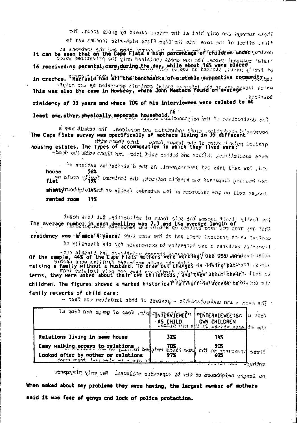These surveys can only hint at the evicing caused by grows areas. The

first offect of the move into the Cape Flats ship-rise schemes was the

as ansociate that on the sone rations and reportion of children under vontent.<br>It can be seen that on the Cape Flats a high percentage of children under vonter :<br>It can be seen that on the Cape Flats a high person assessme

in creches. "Harrield"had all the benchastks of a stuble supportive community.

and the sale of the case in Howbray, where John Western found and average soll notice .Doorhund

risidency of 33 years and where 70% of his interviewees were related to at

least one other physically peperate household. 16<br>least one other physically peperate household. 16

s was dimma and .sopivion bra adimisate the reflexion the Cape Plats survey was specifically of mothers living in 35 different into thors with

dike some dant some funds out for the plane form and the some of a states. The types of accommodation in which they lived were with a

more specialized, ckllicd and batter paid jobs, cmd those with the dock-

and, low paid jabs and unemployment. As the distribution pattern of house 56% na blues vijgg? batalosi sit , susden giftsnis oft terracif pairwat han shanty medias on recorders of the satended family or thinking yardsha rented room  $11<sup>2</sup>$ 

The family itself became the sale focus of soliderity. But this meant The average number in each dwelling was 7.3 and the average length of residency was "a merela pears: ambi cmos add in bos ; madr beauboug daids issinon tionshort gathered a new intensity to commonsate for the diversity of

ation strictly but are triated mothers were working ( and 25% werelessing)<br>raising a family without as it isn't a husband in a strictly be trained to the Cape of the Cape of the Cape of<br>raising a family without a husband! terns, they were asked about their own childhoods, and then about their w lest of children. The figures showed a marked historical<sup>nifal</sup>lioff<sup>3</sup>in'access tobia no one family networks of child care:

- thel cow molisisei nidi la fouteru - eldabraiersburu tra - nism sel -

| To zout hos some to seet . Accord Twitter of         |     | <b>EINTERVIEWEE!SR Q RECT.</b><br>AS CHILD OWN CHILDREN<br>- 1991 1991 0 18 miles for sport 3x and |                 |
|------------------------------------------------------|-----|----------------------------------------------------------------------------------------------------|-----------------|
| Relations living in same house                       | 32% | 14%                                                                                                |                 |
| many against home water we complete allow in company |     | <b>CALL Service Control</b>                                                                        | 出想物活<br>antina. |

no longer neighbours of kin to mostvice children. The chly pleytoport

When asked about mny problems they were having, the largest number of mothers said it was fear of gengs and lock of police protection.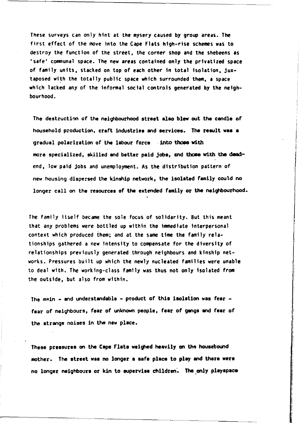These surveys can only hint at the mysery caused by group areas. The first effect of the move into the Cape Flats high-rise schemes was to destroy the function of the street, the corner shop and the shebeens as 'safe' communal space. The new areas contained only the privatized space of family units, stacked on top of each other In total Isolation, juxtaposed with the totally public space which surrounded them, a space which lacked any of the informal social controls generated by the neighbourhood.

The destruction of the neighbourhood atreet also blew out the cendle of household production, craft industriaa and aervicea. The result waa a gradual polarization of the labour force . into those with more specialized, skilled and better paid jobs, and those with the deadend, low paid jobs and unemployment. As the distribution pattern of new housing dispersed the kinship network, the isolated family could no longer call on the resources of the extended family or the neighbourhood.

The family Itself became the sole focus of solidarity. But this meant that any problems were bottled up within the immediate interpersonal context which produced them; and at the same time the family relationships gathered a new Intensity to compensate for the diversity of relationships previously generated through neighbours and kinship networks. Pressures built up which the newly nucleated families were unable to deal with. The working-class family was thus not only Isolated from the outside, but also from within.

The main - and understandable - product of this isolation was fear fear of neighbours, fear of unknown people, fear of gangs and fear of the strange noises in the new place.

These pressures on the Cape Flats weighed heavily on the housebound mother. The atreet waa no longer a aafe place to play and there were no longer neighbours or kin to supervise children. The only playspace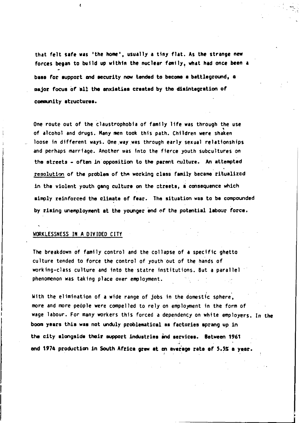that felt safe was 'the home', usually a tiny flat. As the strange new forces began to build up within the nuclear family, what had once been a base for support and security now tended to become a battleground, a major focus of all the enxisties created by the disintegration of community structures.

One route out of the claustrophobia of family life was through the use of alcohol and drugs. Many men took this path. Children were shaken loose in different ways. One way was through early sexual relationships and perhaps marriage. Another was Into the fierce youth subcultures on the streets - often in opposition to the parent culture. An attempted resolution of the problem of the working class family became ritualized in the violent youth gang culture on the ctreets, a consequence which simply reinforced the climate of fear. The situation was to be compounded by rising unemployment at the younger end of the potential labour force.

## WORKLESSNESS IN A DIVIDED CITY

Ł

The breakdown of family control and the collapse of a specific ghetto culture tended to force the control of youth·out of the hands of working-class culture and into the statre institutions. But a parallel phenomenon was taking place over employment.

With the elimination of a wide range of jobs in the domestic sphere, more and more people were compelled to rely on employment in the form of wage labour. For many workers this forced a dependency on white employers. In the boom years this was not unduly problematical ee factories sprang up in the city alongside their support industries and services. Between 1961 end 1974 production in South Africa grew at en average rate of 5.5% a year.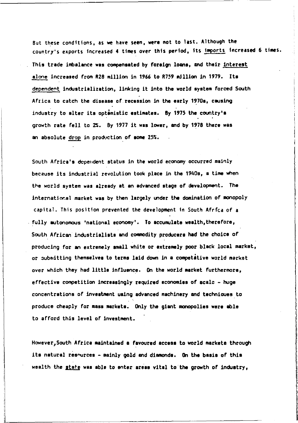But these conditions, as we have seen, were not to last. Although the country's exports increased 4 times over this period, its imports increased 6 times. This trade imbalance was compensated by foreign loans, and their interest alone increased from R2B million in 1966 to R759 million in 1979. Its dependent industrialization, linking it into the world system forced South Africa to catch the disease of recession in the early 1970s, causing industry to alter its optemistic estimates. By 1975 the country's growth rate fell to 2%. By 1977 it was lower, end by 1978 there was an absolute drop in production of some 25%.

South Africa's dependent status in the world economy occurred mainly bec2use its industrial revolution took place in the 1940s, a time when the world system was already at an advanced stage of development. The internatinr.al market was by then largely under the domination of monopoly capital. This position prevented the development In South Afrfca of a  $f$  fully autonomous 'national economy'. To accumulate wealth, therefore, South African industrialists and commodity producers had the choice of producing for an extremely small white or axtremely poor black local market, or submitting themselves to terms laid down in a competative world merket over which they had little influence. On the world market furthermore, effective competition increasingly required economies of scalc - huge concentrations of investment using advenced machinery end technioues.to produce cheaply for mass markets. Only the giant monopolies were able to afford this level of investment.

However, South Africa maintained a favoured access to world markets through its natural resources - mainly gold and diamonds. On the basis of this wealth the state was able to enter areas vital to the growth of industry,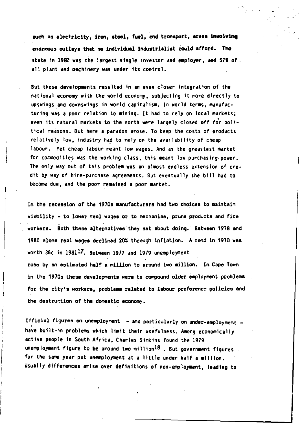ouch as electricity, iron, steel, fuel, and transport, areas involving enormous outlayr that no individual induatrialist Could afrord. Tho state in 1982 was the largest single investor and employer, and 57% of all plant and machinery was under its control.

But these developments resulted In an even closer Integration of the national economy with the world economy, subjecting it more directly to upswings and downswings in world capitalism. In world terms, manufacturing was a poor relation to mining. It had to rely on local markets; even its natural markets to the north were largely closed off for political reasons. But here a paradox arose. To keep the costs of products relatively low, industry had to rely on the availability of cheap labour. Yet cheap labour meant low wages. And as the greastest market for commodities was the working class, this meant low purchasing power. The only way out of this problem was an almost endless extension of credit by way of hire-purchase agreements. But eventually the bill had to become due, and the poor remained a poor market.

. In the recession of the 1970s manufacturers had two choices to maintain viibility - to lower real wages or to mechenise, prune products and fire workers. Both thase alternatives they set about doing. Between 1978 and 1980 Alone real wages declined 20% through inflation. A rand in 1970 was worth 36c in  $1981^{17}$ . Between 1977 and 1979 unemployment rose by an estimated half a million to around two million. In Cape Town in the 1970s these developmenta were to compound older employment problema for the city's workers, problems related to labour preference policies and the destruction of the domestic economy.

Official figures on unemployment - and particularly on under-employment have built-in problems which limit their usefulness. Among economically active people in South Africa, Charles Simkins found the 1979 unemployment figure to be around two million<sup>18</sup>. But government figures for the same year put unemployment at a little under half a million. Usually differences arise over definitions of non-employment, leading to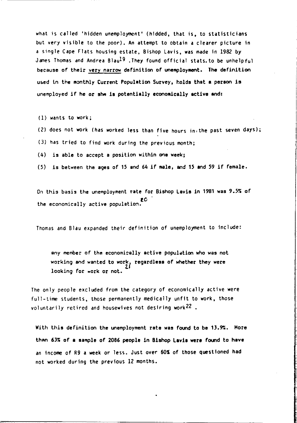what is called 'hidden unemployment' (hldded, that is, to statisticians but very visible to the poor). An attempt to obtain a clearer picture in a sin91e Cape Flats housing estate, Bishop Lavis, was made in 1982 by James Thomas and Andrea Blau<sup>19</sup>. They found official stats to be unhelpful because of their very narrow definition of unemployment. The definition used in the monthly Current Population Survey, holds that a person is unemployed if he or she is potentially economically active and:

(1) wants to work;

(2) does not work (has worked less than five hours in the past seven days);

(3) has tried to find work during the previous month;

(4) is able to accept a position within one week;

(5) is between the ages of 15 and 64 if male, and 15 and 59 if female.

On this basis the unemployment rate for Bishop Lavis in 1981 was 9.5% of the economically active population.

Thomas and Blau expanded their definition of unemployment to include:

any member of the economically active population who was not working and wanted to work, regardless of whether they were looking for work or not.

The only people excluded from the category of economically active were full-time students, those permanently medically unfit to work, those voluntarily retired and housewives not desiring work<sup>22</sup>.

With this definition the unemployment rate was found to be 13.9%. More than 63% of a sample of 2086 people in Bishop Lavis were found to have an income of R9 a week or less. Just over 60% of those questioned had not worked during the previous 12 months.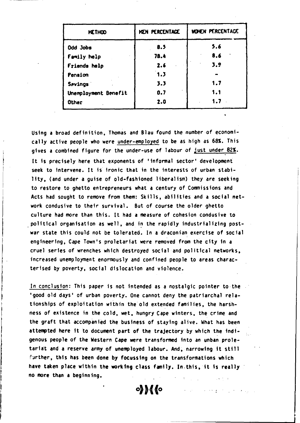| METHOD               | KEN PERCENTAGE | <b>HOMEN PERCENTAGE</b> |
|----------------------|----------------|-------------------------|
| Odd Jobs             | 8.5            | 5.6                     |
| Family help          | 78.4           | 8.6                     |
| Friends help         | 2.6            | 3.9                     |
| Pension              | 1.3            |                         |
| <b>Savings</b>       | 3.3            | 1.7                     |
| Unemployment Benefit | 0.7            | 1.1                     |
| Other                | 2.0            | 1.7                     |

Using a broad definition, Thomas and Blau found the number of economically active people who were under-employed to be as high as 68%. This gives a combined figure for the under-use of labour of just under 82%. It is orecisely here that exponents of 'informal sector' development seek to intervene. It is ironic that in the interests of urban stability, (and under a quise of old-fashioned liberalism) they are seeking to restore to ghetto entrepreneurs what a century of Commissions and Acts had sought to remove from them: Skills, abilities and a social network condusive to their survival. But of course the older ghetto culture had more than this. It had a measure of cohesion condusive to political organisation as well, and in the rapidly industrializing postwar state this could not be tolerated. In a draconian exercise of social engineering, Cape Town's proletariat were removed from the city in a cruel series of wrenches which destroyed social and political networks. increased unemployment enormously and confined people to areas characterised by poverty, social dislocation and violence.

In conclusion: This paper is not intended as a nostalgic pointer to the 'good old days' of urban poverty. One cannot deny the patriarchal relationships of exploitation within the old extended families, the harshness of existence in the cold, wet, hungry Cape winters, the crime and the graft that accompanied the business of staying alive. What has been attempted here it to document part of the trajectory by which the indigenous people of the Western Cape were transformed into an unban proletariat and a reserve army of unemployed labour. And, narrowing it still further, this has been done by focussing on the transformations which have taken place within the working class family. In this, it is really no more than a beginning.

 $\circ$  )  $\mathcal{M}$  (o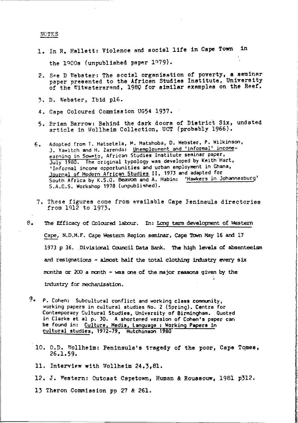NOTES

1. In R. Hallett: Violence and social life in Cape Town in

the 1900s (unpublished paper 1979).

- 2. See D Webster: The social organisation of poverty, a seminar paper presented to the African Studies Institute, University of the Witwatersrand, 1980 for similar examples on the Reef.
- 3. D. Webster. Ibid pl6.
- 4. Cape Coloured Commission UG54 1937.
- 5. Brian Barrow: Behind the dark doors of District Six, undated article in Wollheim Collection, UCT (probably 1966).
- Adopted from T. Matsetela, M. Matshoba, D. Webster, P. Wilkinson,  $6.$ J. Yawitch and H. Zarenda: <u>Unemployment and 'informal' income</u>-<br>earning in Soweto, African Studies Institute seminar paper, July 1980. The original typology was developed by Keith Hart, 'Informal income opportunities and urban employment in Ghana, Journal of Modern African Studies II, 1973 and adapted for South Africa by K.S.O. Beavon and A. Mabin: 'Hawkers in Johannesburg' S.A.C.S. Workshop 1978 (unpublished).
- 7. These figures come from available Cape Feninsula directories from 1912 to 1973.
- $8.$ The Efficacy of Coloured labour. In: Long term development of Western Cape, N.D.M.F. Cape Western Region seminar, Cape Town May 16 and 17 1973 p 36. Divisional Council Data Bank. The high levels of absenteeism and resignations - almost half the total clothing industry every six months or 200 a month - was one of the major reasons given by the industry for mechanisation.
- $9.1$ P. Cohen: Subcultural conflict and working class community. working papers in cultural studies No. 2 (Spring). Centre for Contemporary Cultural Studies, University of Birmingham. Quoted in Clarke et al p. 30. A shortened version of Cohen's paper can be found in: Culture, Media, Language : Working Papers in cultural studies, 1972-79, Hutchinson 1980
	- 10. O.D. Wollheim: Peninsula's tragedy of the poor, Cape Tomes,  $26.1.59.$
	- 11. Interview with Wollheim 24.3,81.
	- 12. J. Western: Outcast Capetown, Human & Roussouw, 1981 p312.
	- 13 Theron Commission pp 27 & 261.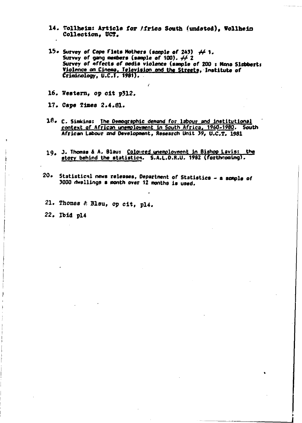- 14. Wollheim: Article for Africs South (undsted), Wollheim Collection. UCT.
- 15. Survey of Cooe Flats Mothers (secole of 243)  $441$ . Survey of gang members (sample of 100).  $\neq 2$ Survey of effects of media violence (sample of 200 ; Mana Slabbert: Violence on Cinema, Television and the Streets, Institute of Criminology, U.C.T. 1981).
- 16. Western, op cit p312.
- 17. Cape Times 2.4.81.
- $18. c.$  Simkins: The Demographic demand for labour and institutional context of African unemployment in South Africa, 1960-1980. South African Labour and Development, Research Unit 39, U.C.T. 1981
- 19. J. Thomas & A. Blaus Coloured unemployment in Bishop Lavis: the story behind the statistics. S.A.L.D.R.U. 1982 (forthcoming).
- 20. Statistical news releases, Department of Statistics a semple of 3000 dwellings a month over 12 months is used.
- 21. Thomas & Blau, op cit, pl4.
- 22. Ibid pl4